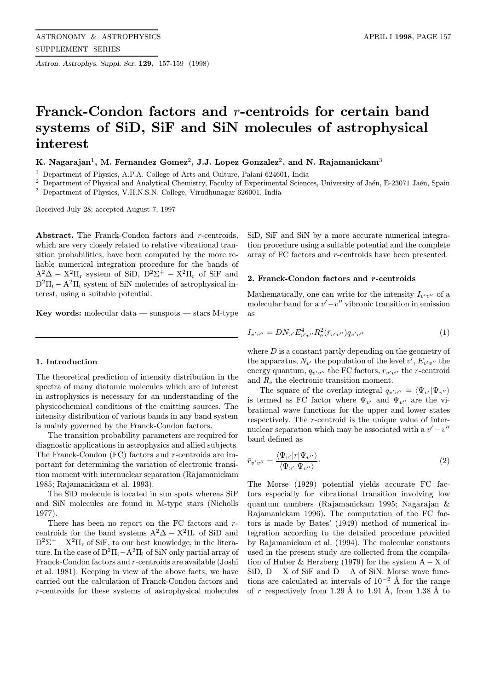Astron. Astrophys. Suppl. Ser. 129, 157-159 (1998)

# Franck-Condon factors and r-centroids for certain band systems of SiD, SiF and SiN molecules of astrophysical interest

K. Nagarajan<sup>1</sup>, M. Fernandez Gomez<sup>2</sup>, J.J. Lopez Gonzalez<sup>2</sup>, and N. Rajamanickam<sup>3</sup>

<sup>1</sup> Department of Physics, A.P.A. College of Arts and Culture, Palani 624601, India

<sup>2</sup> Department of Physical and Analytical Chemistry, Faculty of Experimental Sciences, University of Jaén, E-23071 Jaén, Spain <sup>3</sup> Department of Physics, V.H.N.S.N. College, Virudhunagar 626001, India

Received July 28; accepted August 7, 1997

Abstract. The Franck-Condon factors and r-centroids, which are very closely related to relative vibrational transition probabilities, have been computed by the more reliable numerical integration procedure for the bands of  $A^2\Delta - X^2\Pi_r$  system of SiD,  $D^2\Sigma^+ - X^2\Pi_r$  of SiF and  $D^2\Pi_i - A^2\Pi_i$  system of SiN molecules of astrophysical interest, using a suitable potential.

Key words: molecular data — sunspots — stars  $M$ -type

## 1. Introduction

The theoretical prediction of intensity distribution in the spectra of many diatomic molecules which are of interest in astrophysics is necessary for an understanding of the physicochemical conditions of the emitting sources. The intensity distribution of various bands in any band system is mainly governed by the Franck-Condon factors.

The transition probability parameters are required for diagnostic applications in astrophysics and allied subjects. The Franck-Condon (FC) factors and r-centroids are important for determining the variation of electronic transition moment with internuclear separation (Rajamanickam 1985; Rajamanickam et al. 1993).

The SiD molecule is located in sun spots whereas SiF and SiN molecules are found in M-type stars (Nicholls 1977).

There has been no report on the FC factors and rcentroids for the band systems  $A^2\Delta - X^2\Pi_r$  of SiD and  $D^2\Sigma^+ - X^2\Pi_r$  of SiF, to our best knowledge, in the literature. In the case of  $D^2\Pi_i-A^2\Pi_i$  of SiN only partial array of Franck-Condon factors and r-centroids are available (Joshi et al. 1981). Keeping in view of the above facts, we have carried out the calculation of Franck-Condon factors and r-centroids for these systems of astrophysical molecules

SiD, SiF and SiN by a more accurate numerical integration procedure using a suitable potential and the complete array of FC factors and r-centroids have been presented.

### 2. Franck-Condon factors and r-centroids

Mathematically, one can write for the intensity  $I_{v'v''}$  of a molecular band for a  $v'-v''$  vibronic transition in emission as

$$
I_{v'v''} = DN_{v'} E_{v'v''}^4 R_e^2(\bar{r}_{v'v''}) q_{v'v''}
$$
\n(1)

where  $D$  is a constant partly depending on the geometry of the apparatus,  $N_{v'}$  the population of the level  $v', E_{v'v''}$  the energy quantum,  $q_{v'v''}$  the FC factors,  $r_{v'v''}$  the r-centroid and R<sup>e</sup> the electronic transition moment.

The square of the overlap integral  $q_{v'v''} = \langle \Psi_{v'} | \Psi_{v''} \rangle$ is termed as FC factor where  $\Psi_{v'}$  and  $\Psi_{v''}$  are the vibrational wave functions for the upper and lower states respectively. The r-centroid is the unique value of internuclear separation which may be associated with a  $v'-v''$ band defined as

$$
\bar{r}_{v'v''} = \frac{\langle \Psi_{v'} | r | \Psi_{v''} \rangle}{\langle \Psi_{v'} | \Psi_{v''} \rangle}.
$$
\n(2)

The Morse (1929) potential yields accurate FC factors especially for vibrational transition involving low quantum numbers (Rajamanickam 1995; Nagarajan & Rajamanickam 1996). The computation of the FC factors is made by Bates' (1949) method of numerical integration according to the detailed procedure provided by Rajamanickam et al. (1994). The molecular constants used in the present study are collected from the compilation of Huber & Herzberg (1979) for the system  $A - X$  of SiD,  $D - X$  of SiF and  $D - A$  of SiN. Morse wave functions are calculated at intervals of  $10^{-2}$  Å for the range of r respectively from 1.29 Å to 1.91 Å, from 1.38 Å to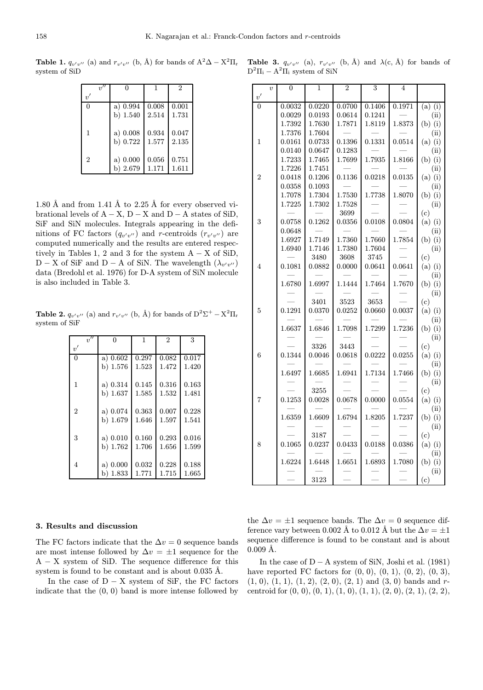**Table 1.**  $q_{v'v''}$  (a) and  $r_{v'v''}$  (b, Å) for bands of  $A^2\Delta - X^2\Pi_r$ system of SiD

|                | 0          |       | $\mathcal{D}$ |
|----------------|------------|-------|---------------|
| $v^\prime$     |            |       |               |
| $\Omega$       | a) $0.994$ | 0.008 | 0.001         |
|                | b) $1.540$ | 2.514 | 1.731         |
| 1              | a) 0.008   | 0.934 | 0.047         |
|                | b) 0.722   | 1.577 | 2.135         |
| $\overline{2}$ | a) 0.000   | 0.056 | 0.751         |
|                | b) 2.679   | 1.171 | 1.611         |

1.80 Å and from 1.41 Å to 2.25 Å for every observed vibrational levels of  $A - X$ ,  $D - X$  and  $D - A$  states of SiD, SiF and SiN molecules. Integrals appearing in the definitions of FC factors  $(q_{v'v''})$  and r-centroids  $(r_{v'v''})$  are computed numerically and the results are entered respectively in Tables 1, 2 and 3 for the system  $A - X$  of SiD, D − X of SiF and D − A of SiN. The wavelength  $(\lambda_{v'v''})$ data (Bredohl et al. 1976) for D-A system of SiN molecule is also included in Table 3.

**Table 2.**  $q_{v'v''}$  (a) and  $r_{v'v''}$  (b, Å) for bands of  $D^2\Sigma^+ - X^2\Pi_r$ system of SiF

| v''            | $\theta$    | $\mathbf{1}$ | $\overline{2}$ | $\overline{\mathbf{3}}$ |
|----------------|-------------|--------------|----------------|-------------------------|
| v'             |             |              |                |                         |
| $\overline{0}$ | a) 0.602    | 0.297        | 0.082          | 0.017                   |
|                | b) 1.576    | 1.523        | 1.472          | 1.420                   |
| 1              | a) $0.314$  | 0.145        | 0.316          | 0.163                   |
|                | b) $1.637$  | 1.585        | 1.532          | 1.481                   |
|                |             |              |                |                         |
| $\overline{2}$ | a) 0.074    | 0.363        | 0.007          | 0.228                   |
|                | b) 1.679    | 1.646        | 1.597          | 1.541                   |
|                |             |              |                |                         |
| 3              | a) 0.010    | 0.160        | 0.293          | 0.016                   |
|                | b) 1.762    | 1.706        | 1.656          | 1.599                   |
|                |             |              |                |                         |
| 4              | a) 0.000    | 0.032        | 0.228          | 0.188                   |
|                | 1.833<br>b) | 1.771        | 1.715          | 1.665                   |

Table 3.  $q_{v'v''}$  (a),  $r_{v'v''}$  (b, Å) and  $\lambda(c, \AA)$  for bands of  $D^2\Pi_i - A^2\Pi_i$  system of SiN

|                | $\overline{v}$ | $\overline{0}$ | $\mathbf{1}$   | $\overline{2}$ | 3      | 4      |                  |
|----------------|----------------|----------------|----------------|----------------|--------|--------|------------------|
| $v^\prime$     |                |                |                |                |        |        |                  |
| $\theta$       |                | 0.0032         | 0.0220         | 0.0700         | 0.1406 | 0.1971 | $(a)$ (i)        |
|                |                | 0.0029         | 0.0193         | 0.0614         | 0.1241 |        | (ii)             |
|                |                | 1.7392         | 1.7630         | 1.7871         | 1.8119 | 1.8373 | $(b)$ (i)        |
|                |                | 1.7376         | 1.7604         |                |        |        | (ii)             |
| 1              |                | 0.0161         | 0.0733         | 0.1396         | 0.1331 | 0.0514 | $(a)$ (i)        |
|                |                | 0.0140         | 0.0647         | 0.1283         |        |        | (ii)             |
|                |                | 1.7233         | 1.7465         | 1.7699         | 1.7935 | 1.8166 | $(b)$ $(i)$      |
|                |                | 1.7226         | 1.7451         |                |        |        | (ii)             |
| $\overline{2}$ |                | 0.0418         | 0.1206         | 0.1136         | 0.0218 | 0.0135 | $(a)$ (i)        |
|                |                | 0.0358         | 0.1093         |                |        |        | (ii)             |
|                |                | 1.7078         | 1.7304         | 1.7530         | 1.7738 | 1.8070 | $(b)$ (i)        |
|                |                | 1.7225         | 1.7302         | 1.7528         |        |        | (ii)             |
|                |                |                |                | 3699           |        |        | (c)              |
| 3              |                | 0.0758         | 0.1262         | 0.0356         | 0.0108 | 0.0804 | $(a)$ (i)        |
|                |                | 0.0648         |                |                |        |        | (ii)             |
|                |                | 1.6927         | 1.7149         | 1.7360         | 1.7660 | 1.7854 | $(b)$ $(i)$      |
|                |                | 1.6940         | 1.7146         | 1.7380         | 1.7604 |        | (ii)             |
|                |                |                | 3480           | 3608           | 3745   |        | (c)              |
| 4              |                | 0.1081         | 0.0882         | 0.0000         | 0.0641 | 0.0641 | $(a)$ $(i)$      |
|                |                |                |                |                |        |        | (ii)             |
|                |                | 1.6780         | 1.6997         | 1.1444         | 1.7464 | 1.7670 | $(b)$ $(i)$      |
|                |                |                |                | 3523           | 3653   |        | (ii)             |
| 5              |                | 0.1291         | 3401<br>0.0370 | 0.0252         | 0.0660 | 0.0037 | (c)<br>$(a)$ (i) |
|                |                |                |                |                |        |        | (ii)             |
|                |                | 1.6637         | 1.6846         | 1.7098         | 1.7299 | 1.7236 | $(b)$ (i)        |
|                |                |                |                |                |        |        | (ii)             |
|                |                |                | 3326           | 3443           |        |        | (c)              |
| 6              |                | 0.1344         | 0.0046         | 0.0618         | 0.0222 | 0.0255 | $(a)$ (i)        |
|                |                |                |                |                |        |        | (ii)             |
|                |                | 1.6497         | 1.6685         | 1.6941         | 1.7134 | 1.7466 | $(b)$ $(i)$      |
|                |                |                |                |                |        |        | (ii)             |
|                |                |                | 3255           |                |        |        | (c)              |
| 7              |                | 0.1253         | 0.0028         | 0.0678         | 0.0000 | 0.0554 | $(a)$ (i)        |
|                |                |                |                |                |        |        | (ii)             |
|                |                | 1.6359         | 1.6609         | 1.6794         | 1.8205 | 1.7237 | $(b)$ (i)        |
|                |                |                |                |                |        |        | (ii)             |
|                |                |                | 3187           |                |        |        | (c)              |
| 8              |                | 0.1065         | 0.0237         | 0.0433         | 0.0188 | 0.0386 | $(a)$ (i)        |
|                |                |                |                |                |        |        | (ii)             |
|                |                | 1.6224         | 1.6448         | 1.6651         | 1.6893 | 1.7080 | $(b)$ $(i)$      |
|                |                |                |                |                |        |        | (ii)             |
|                |                |                | 3123           |                |        |        | (c)              |

#### 3. Results and discussion

The FC factors indicate that the  $\Delta v = 0$  sequence bands are most intense followed by  $\Delta v = \pm 1$  sequence for the A − X system of SiD. The sequence difference for this system is found to be constant and is about  $0.035 \text{ Å}.$ 

In the case of  $D - X$  system of SiF, the FC factors indicate that the (0, 0) band is more intense followed by

the  $\Delta v = \pm 1$  sequence bands. The  $\Delta v = 0$  sequence difference vary between 0.002 Å to 0.012 Å but the  $\Delta v = \pm 1$ sequence difference is found to be constant and is about  $0.009 \; \text{\AA}.$ 

In the case of  $D - A$  system of SiN, Joshi et al. (1981) have reported FC factors for  $(0, 0)$ ,  $(0, 1)$ ,  $(0, 2)$ ,  $(0, 3)$ ,  $(1, 0), (1, 1), (1, 2), (2, 0), (2, 1)$  and  $(3, 0)$  bands and rcentroid for  $(0, 0), (0, 1), (1, 0), (1, 1), (2, 0), (2, 1), (2, 2),$